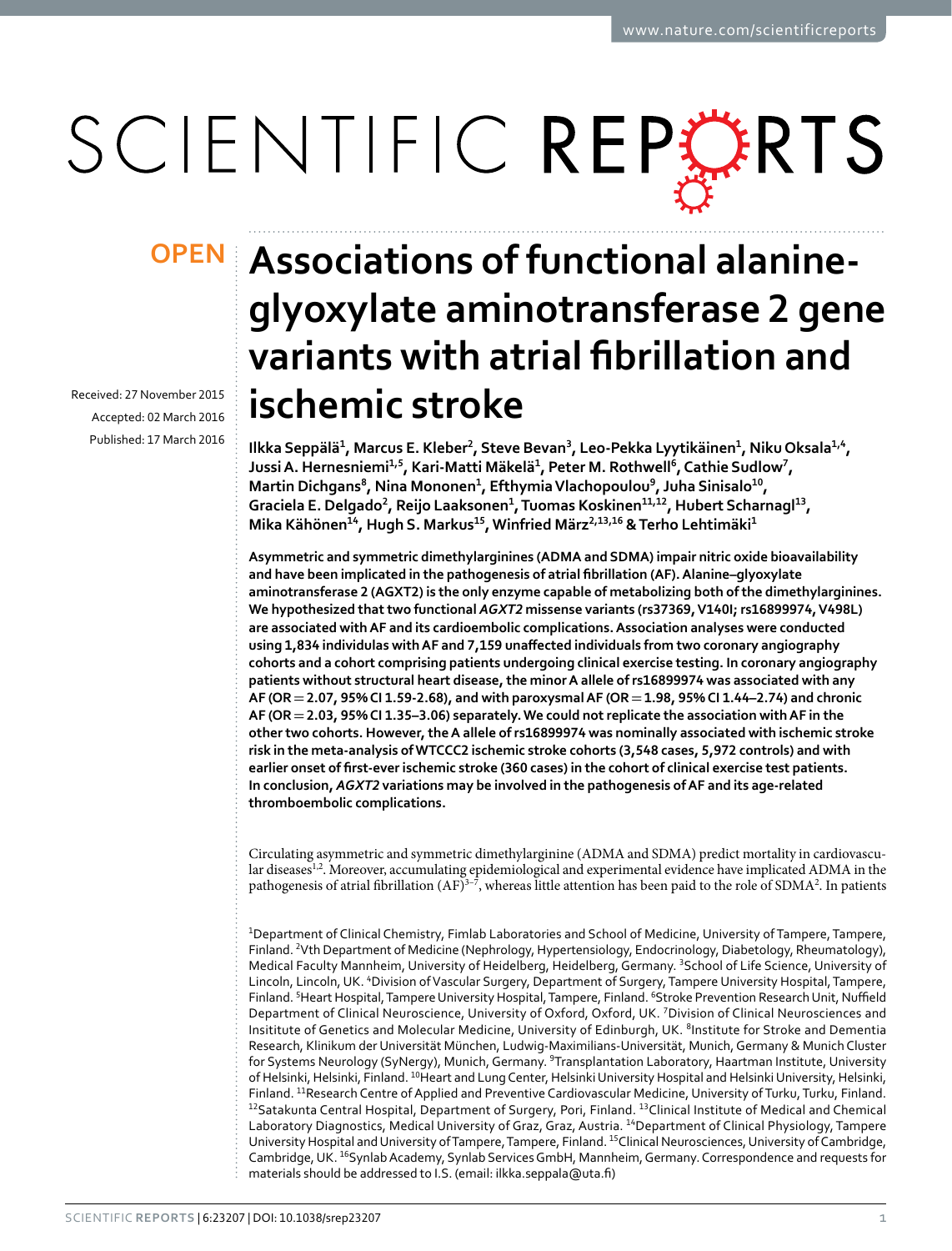# SCIENTIFIC REPERTS

Received: 27 November 2015 accepted: 02 March 2016 Published: 17 March 2016

## **Associations of functional alanine-OPENglyoxylate aminotransferase 2 gene variants with atrial fibrillation and ischemic stroke**

**Ilkka Seppälä<sup>1</sup>, Marcus E. Kleber2, Steve Bevan<sup>3</sup>, Leo-Pekka Lyytikäinen<sup>1</sup>, NikuOksala<sup>1</sup>,<sup>4</sup>, JussiA. Hernesniemi<sup>1</sup>,<sup>5</sup>, Kari-Matti Mäkelä<sup>1</sup>, Peter M. Rothwell <sup>6</sup>, Cathie Sudlow7, Martin Dichgans<sup>8</sup>, Nina Mononen<sup>1</sup>, EfthymiaVlachopoulou<sup>9</sup>, Juha Sinisalo<sup>10</sup>, Graciela E. Delgado2, Reijo Laaksonen<sup>1</sup>, Tuomas Koskinen<sup>11</sup>,12, Hubert Scharnagl<sup>13</sup>, Mika Kähönen<sup>14</sup>, Hugh S. Markus15, Winfried März<sup>2</sup>,13,<sup>16</sup> & Terho Lehtimäki<sup>1</sup>**

**Asymmetric and symmetric dimethylarginines (ADMA and SDMA) impair nitric oxide bioavailability and have been implicated in the pathogenesis of atrial fibrillation (AF). Alanine–glyoxylate aminotransferase 2 (AGXT2) is the only enzyme capable of metabolizing both of the dimethylarginines. We hypothesized that two functional** *AGXT2* **missense variants (rs37369, V140I; rs16899974, V498L) are associated with AF and its cardioembolic complications. Association analyses were conducted using 1,834 individulas with AF and 7,159 unaffected individuals from two coronary angiography cohorts and a cohort comprising patients undergoing clinical exercise testing. In coronary angiography patients without structural heart disease, the minor A allele of rs16899974 was associated with any AF (OR=2.07, 95% CI 1.59-2.68), and with paroxysmal AF (OR=1.98, 95% CI 1.44–2.74) and chronic AF (OR=2.03, 95% CI 1.35–3.06) separately. We could not replicate the association with AF in the other two cohorts. However, the A allele of rs16899974 was nominally associated with ischemic stroke risk in the meta-analysis of WTCCC2 ischemic stroke cohorts (3,548 cases, 5,972 controls) and with earlier onset of first-ever ischemic stroke (360 cases) in the cohort of clinical exercise test patients. In conclusion,** *AGXT2* **variations may be involved in the pathogenesis of AF and its age-related thromboembolic complications.**

Circulating asymmetric and symmetric dimethylarginine (ADMA and SDMA) predict mortality in cardiovascu-lar diseases<sup>1[,2](#page-7-1)</sup>. Moreover, accumulating epidemiological and experimental evidence have implicated ADMA in the pathogenesis of atrial fibrillation  $(AF)^{3-7}$ , whereas little attention has been paid to the role of SDMA<sup>[2](#page-7-1)</sup>. In patients

1 Department of Clinical Chemistry, Fimlab Laboratories and School of Medicine, University of Tampere, Tampere, Finland. <sup>2</sup> Vth Department of Medicine (Nephrology, Hypertensiology, Endocrinology, Diabetology, Rheumatology), Medical Faculty Mannheim, University of Heidelberg, Heidelberg, Germany. <sup>3</sup>School of Life Science, University of Lincoln, Lincoln, UK. <sup>4</sup> Division of Vascular Surgery, Department of Surgery, Tampere University Hospital, Tampere, Finland. <sup>5</sup>Heart Hospital, Tampere University Hospital, Tampere, Finland. <sup>6</sup>Stroke Prevention Research Unit, Nuffield Department of Clinical Neuroscience, University of Oxford, Oxford, UK. <sup>7</sup>Division of Clinical Neurosciences and Insititute of Genetics and Molecular Medicine, University of Edinburgh, UK. <sup>8</sup>Institute for Stroke and Dementia Research, Klinikum der Universität München, Ludwig-Maximilians-Universität, Munich, Germany & Munich Cluster for Systems Neurology (SyNergy), Munich, Germany. <sup>9</sup>Transplantation Laboratory, Haartman Institute, University of Helsinki, Helsinki, Finland. <sup>10</sup>Heart and Lung Center, Helsinki University Hospital and Helsinki University, Helsinki, Finland. 11Research Centre of Applied and Preventive Cardiovascular Medicine, University of Turku, Turku, Finland. <sup>12</sup>Satakunta Central Hospital, Department of Surgery, Pori, Finland. <sup>13</sup>Clinical Institute of Medical and Chemical Laboratory Diagnostics, Medical University of Graz, Graz, Austria. <sup>14</sup>Department of Clinical Physiology, Tampere University Hospital and University of Tampere, Tampere, Finland. <sup>15</sup>Clinical Neurosciences, University of Cambridge, Cambridge, UK. <sup>16</sup>Synlab Academy, Synlab Services GmbH, Mannheim, Germany. Correspondence and requests for materials should be addressed to I.S. (email: [ilkka.seppala@uta.fi\)](mailto:ilkka.seppala@uta.fi)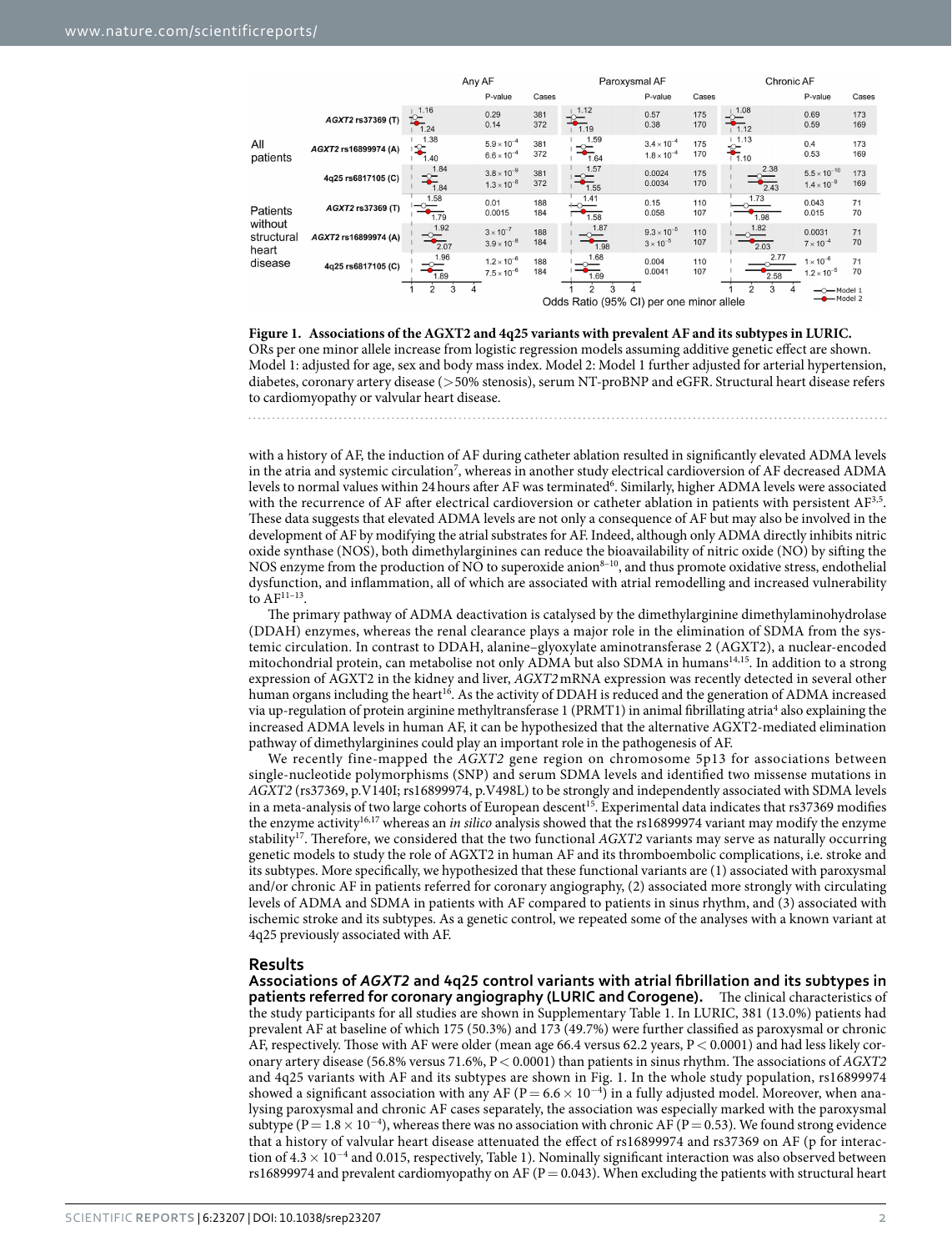|                                |                      | Any AF                        |                                              | Paroxysmal AF |                                                                                                                                                                                                                                                                                                                                                                                                                                                                                                  |                                              | Chronic AF |                          |                                               |            |
|--------------------------------|----------------------|-------------------------------|----------------------------------------------|---------------|--------------------------------------------------------------------------------------------------------------------------------------------------------------------------------------------------------------------------------------------------------------------------------------------------------------------------------------------------------------------------------------------------------------------------------------------------------------------------------------------------|----------------------------------------------|------------|--------------------------|-----------------------------------------------|------------|
|                                |                      |                               | P-value                                      | Cases         |                                                                                                                                                                                                                                                                                                                                                                                                                                                                                                  | P-value                                      | Cases      |                          | P-value                                       | Cases      |
|                                | AGXT2 rs37369 (T)    | 1.16<br>℃<br>1.24             | 0.29<br>0.14                                 | 381<br>372    | 1.12<br>$\frac{1}{4.19}$                                                                                                                                                                                                                                                                                                                                                                                                                                                                         | 0.57<br>0.38                                 | 175<br>170 | $\frac{1}{1}$ 1.08       | 0.69<br>0.59                                  | 173<br>169 |
| All<br>patients                | AGXT2 rs16899974 (A) | 1.38<br>°<br>1.40             | $5.9 \times 10^{-4}$<br>$6.6 \times 10^{-4}$ | 381<br>372    | 1.59<br>$\frac{1}{1.64}$                                                                                                                                                                                                                                                                                                                                                                                                                                                                         | $3.4 \times 10^{-4}$<br>$1.8 \times 10^{-4}$ | 175<br>170 | 1.13<br>7.10             | 0.4<br>0.53                                   | 173<br>169 |
|                                | 4q25 rs6817105 (C)   | 1.84<br>$\frac{1}{1.84}$      | $3.8 \times 10^{-9}$<br>$1.3 \times 10^{-8}$ | 381<br>372    | 1.57<br>ੂ⊏<br>1.55                                                                                                                                                                                                                                                                                                                                                                                                                                                                               | 0.0024<br>0.0034                             | 175<br>170 | 2.38<br>$\frac{1}{2.43}$ | $5.5 \times 10^{-10}$<br>$1.4 \times 10^{-9}$ | 173<br>169 |
| Patients                       | AGXT2 rs37369 (T)    | 1.58<br>$\Rightarrow$<br>1.79 | 0.01<br>0.0015                               | 188<br>184    | 1.41<br>1.58                                                                                                                                                                                                                                                                                                                                                                                                                                                                                     | 0.15<br>0.058                                | 110<br>107 | 1.73<br>1.98             | 0.043<br>0.015                                | 71<br>70   |
| without<br>structural<br>heart | AGXT2 rs16899974 (A) | 1.92<br>$\frac{1}{2.07}$      | $3 \times 10^{-7}$<br>$3.9 \times 10^{-8}$   | 188<br>184    | 1.87<br>$\begin{array}{c}\n\hline\n\end{array}\n\qquad\n\begin{array}{c}\n\hline\n\end{array}\n\qquad\n\begin{array}{c}\n\hline\n\end{array}\n\qquad\n\begin{array}{c}\n\hline\n\end{array}\n\qquad\n\begin{array}{c}\n\hline\n\end{array}\n\qquad\n\begin{array}{c}\n\hline\n\end{array}\n\qquad\n\begin{array}{c}\n\hline\n\end{array}\n\qquad\n\begin{array}{c}\n\hline\n\end{array}\n\qquad\n\begin{array}{c}\n\hline\n\end{array}\n\qquad\n\begin{array}{c}\n\hline\n\end{array}\n\qquad\n$ | $9.3 \times 10^{-5}$<br>$3 \times 10^{-5}$   | 110<br>107 | 1.82<br>2.03             | 0.0031<br>$7 \times 10^{-4}$                  | 71<br>70   |
| disease                        | 4q25 rs6817105 (C)   | 1.96<br>$\frac{1}{1.89}$      | $1.2 \times 10^{-6}$<br>$7.5 \times 10^{-6}$ | 188<br>184    | 1.68<br>1.69                                                                                                                                                                                                                                                                                                                                                                                                                                                                                     | 0.004<br>0.0041                              | 110<br>107 | 2.77<br>2.58             | $1 \times 10^{-6}$<br>$1.2 \times 10^{-5}$    | 71<br>70   |
|                                |                      | $\overline{2}$<br>3           |                                              |               | Odds Ratio (95% CI) per one minor allele                                                                                                                                                                                                                                                                                                                                                                                                                                                         |                                              |            | 3                        | -O-Model 1<br>$-$ Model 2                     |            |

<span id="page-1-0"></span>**Figure 1. Associations of the AGXT2 and 4q25 variants with prevalent AF and its subtypes in LURIC.**  ORs per one minor allele increase from logistic regression models assuming additive genetic effect are shown. Model 1: adjusted for age, sex and body mass index. Model 2: Model 1 further adjusted for arterial hypertension, diabetes, coronary artery disease (>50% stenosis), serum NT-proBNP and eGFR. Structural heart disease refers to cardiomyopathy or valvular heart disease.

with a history of AF, the induction of AF during catheter ablation resulted in significantly elevated ADMA levels in the atria and systemic circulation<sup>[7](#page-8-0)</sup>, whereas in another study electrical cardioversion of AF decreased ADMA levels to normal values within 24 hours after AF was terminated<sup>[6](#page-8-1)</sup>. Similarly, higher ADMA levels were associated with the recurrence of AF after electrical cardioversion or catheter ablation in patients with persistent A[F3](#page-7-2),[5.](#page-7-3) These data suggests that elevated ADMA levels are not only a consequence of AF but may also be involved in the development of AF by modifying the atrial substrates for AF. Indeed, although only ADMA directly inhibits nitric oxide synthase (NOS), both dimethylarginines can reduce the bioavailability of nitric oxide (NO) by sifting the NOS enzyme from the production of NO to superoxide anion<sup>8–10</sup>, and thus promote oxidative stress, endothelial dysfunction, and inflammation, all of which are associated with atrial remodelling and increased vulnerability to  $\rm{AF^{11-13}}.$ 

The primary pathway of ADMA deactivation is catalysed by the dimethylarginine dimethylaminohydrolase (DDAH) enzymes, whereas the renal clearance plays a major role in the elimination of SDMA from the systemic circulation. In contrast to DDAH, alanine–glyoxylate aminotransferase 2 (AGXT2), a nuclear-encoded mitochondrial protein, can metabolise not only ADMA but also SDMA in humans<sup>[14,](#page-8-4)15</sup>. In addition to a strong expression of AGXT2 in the kidney and liver, *AGXT2* mRNA expression was recently detected in several other human organs including the heart<sup>[16](#page-8-6)</sup>. As the activity of DDAH is reduced and the generation of ADMA increased via up-regulation of protein arginine methyltransferase 1 (PRMT1) in animal fibrillating atria<sup>[4](#page-7-4)</sup> also explaining the increased ADMA levels in human AF, it can be hypothesized that the alternative AGXT2-mediated elimination pathway of dimethylarginines could play an important role in the pathogenesis of AF.

We recently fine-mapped the *AGXT2* gene region on chromosome 5p13 for associations between single-nucleotide polymorphisms (SNP) and serum SDMA levels and identified two missense mutations in *AGXT2* (rs37369, p.V140I; rs16899974, p.V498L) to be strongly and independently associated with SDMA levels in a meta-analysis of two large cohorts of European descent<sup>[15](#page-8-5)</sup>. Experimental data indicates that rs37369 modifies the enzyme activit[y16,](#page-8-6)[17](#page-8-7) whereas an *in silico* analysis showed that the rs16899974 variant may modify the enzyme stability[17](#page-8-7). Therefore, we considered that the two functional *AGXT2* variants may serve as naturally occurring genetic models to study the role of AGXT2 in human AF and its thromboembolic complications, i.e. stroke and its subtypes. More specifically, we hypothesized that these functional variants are (1) associated with paroxysmal and/or chronic AF in patients referred for coronary angiography, (2) associated more strongly with circulating levels of ADMA and SDMA in patients with AF compared to patients in sinus rhythm, and (3) associated with ischemic stroke and its subtypes. As a genetic control, we repeated some of the analyses with a known variant at 4q25 previously associated with AF.

### **Results**

**Associations of** *AGXT2* **and 4q25 control variants with atrial fibrillation and its subtypes in patients referred for coronary angiography (LURIC and Corogene).** The clinical characteristics of the study participants for all studies are shown in Supplementary Table 1. In LURIC, 381 (13.0%) patients had prevalent AF at baseline of which 175 (50.3%) and 173 (49.7%) were further classified as paroxysmal or chronic AF, respectively. Those with AF were older (mean age 66.4 versus 62.2 years, P< 0.0001) and had less likely coronary artery disease (56.8% versus 71.6%, P< 0.0001) than patients in sinus rhythm. The associations of *AGXT2* and 4q25 variants with AF and its subtypes are shown in [Fig. 1](#page-1-0). In the whole study population, rs16899974 showed a significant association with any AF ( $P = 6.6 \times 10^{-4}$ ) in a fully adjusted model. Moreover, when analysing paroxysmal and chronic AF cases separately, the association was especially marked with the paroxysmal subtype (P =  $1.8 \times 10^{-4}$ ), whereas there was no association with chronic AF (P = 0.53). We found strong evidence that a history of valvular heart disease attenuated the effect of rs16899974 and rs37369 on AF (p for interaction of 4.3× 10<sup>−</sup><sup>4</sup> and 0.015, respectively, [Table 1\)](#page-2-0). Nominally significant interaction was also observed between rs16899974 and prevalent cardiomyopathy on AF ( $P = 0.043$ ). When excluding the patients with structural heart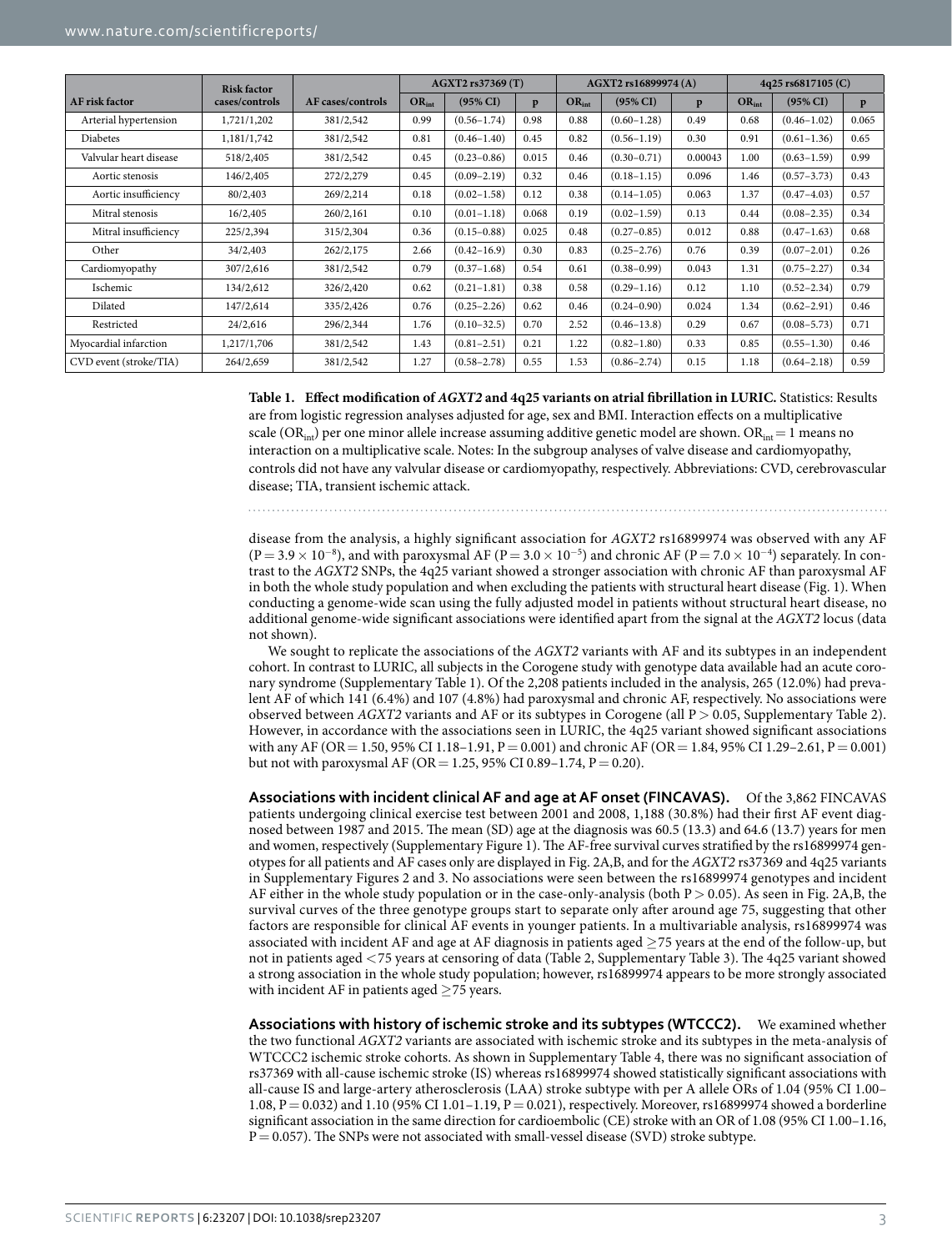<span id="page-2-0"></span>

|                        | <b>Risk factor</b> |                   | AGXT2 rs37369 (T) |                     |       | AGXT2 rs16899974 (A) |                 |         | 4q25 rs6817105 (C) |                     |       |
|------------------------|--------------------|-------------------|-------------------|---------------------|-------|----------------------|-----------------|---------|--------------------|---------------------|-------|
| <b>AF</b> risk factor  | cases/controls     | AF cases/controls | $OR_{int}$        | $(95\% \text{ CI})$ | p     | $OR_{int}$           | $(95\% CI)$     | p       | $OR_{int}$         | $(95\% \text{ CI})$ | p     |
| Arterial hypertension  | 1,721/1,202        | 381/2,542         | 0.99              | $(0.56 - 1.74)$     | 0.98  | 0.88                 | $(0.60 - 1.28)$ | 0.49    | 0.68               | $(0.46 - 1.02)$     | 0.065 |
| <b>Diabetes</b>        | 1,181/1,742        | 381/2,542         | 0.81              | $(0.46 - 1.40)$     | 0.45  | 0.82                 | $(0.56 - 1.19)$ | 0.30    | 0.91               | $(0.61 - 1.36)$     | 0.65  |
| Valvular heart disease | 518/2,405          | 381/2,542         | 0.45              | $(0.23 - 0.86)$     | 0.015 | 0.46                 | $(0.30 - 0.71)$ | 0.00043 | 1.00               | $(0.63 - 1.59)$     | 0.99  |
| Aortic stenosis        | 146/2,405          | 272/2,279         | 0.45              | $(0.09 - 2.19)$     | 0.32  | 0.46                 | $(0.18 - 1.15)$ | 0.096   | 1.46               | $(0.57 - 3.73)$     | 0.43  |
| Aortic insufficiency   | 80/2,403           | 269/2,214         | 0.18              | $(0.02 - 1.58)$     | 0.12  | 0.38                 | $(0.14 - 1.05)$ | 0.063   | 1.37               | $(0.47 - 4.03)$     | 0.57  |
| Mitral stenosis        | 16/2,405           | 260/2,161         | 0.10              | $(0.01 - 1.18)$     | 0.068 | 0.19                 | $(0.02 - 1.59)$ | 0.13    | 0.44               | $(0.08 - 2.35)$     | 0.34  |
| Mitral insufficiency   | 225/2,394          | 315/2,304         | 0.36              | $(0.15 - 0.88)$     | 0.025 | 0.48                 | $(0.27 - 0.85)$ | 0.012   | 0.88               | $(0.47 - 1.63)$     | 0.68  |
| Other                  | 34/2,403           | 262/2,175         | 2.66              | $(0.42 - 16.9)$     | 0.30  | 0.83                 | $(0.25 - 2.76)$ | 0.76    | 0.39               | $(0.07 - 2.01)$     | 0.26  |
| Cardiomyopathy         | 307/2,616          | 381/2,542         | 0.79              | $(0.37 - 1.68)$     | 0.54  | 0.61                 | $(0.38 - 0.99)$ | 0.043   | 1.31               | $(0.75 - 2.27)$     | 0.34  |
| Ischemic               | 134/2,612          | 326/2,420         | 0.62              | $(0.21 - 1.81)$     | 0.38  | 0.58                 | $(0.29 - 1.16)$ | 0.12    | 1.10               | $(0.52 - 2.34)$     | 0.79  |
| Dilated                | 147/2,614          | 335/2,426         | 0.76              | $(0.25 - 2.26)$     | 0.62  | 0.46                 | $(0.24 - 0.90)$ | 0.024   | 1.34               | $(0.62 - 2.91)$     | 0.46  |
| Restricted             | 24/2,616           | 296/2,344         | 1.76              | $(0.10 - 32.5)$     | 0.70  | 2.52                 | $(0.46 - 13.8)$ | 0.29    | 0.67               | $(0.08 - 5.73)$     | 0.71  |
| Myocardial infarction  | 1,217/1,706        | 381/2,542         | 1.43              | $(0.81 - 2.51)$     | 0.21  | 1.22                 | $(0.82 - 1.80)$ | 0.33    | 0.85               | $(0.55 - 1.30)$     | 0.46  |
| CVD event (stroke/TIA) | 264/2,659          | 381/2,542         | 1.27              | $(0.58 - 2.78)$     | 0.55  | 1.53                 | $(0.86 - 2.74)$ | 0.15    | 1.18               | $(0.64 - 2.18)$     | 0.59  |

**Table 1. Effect modification of** *AGXT2* **and 4q25 variants on atrial fibrillation in LURIC.** Statistics: Results are from logistic regression analyses adjusted for age, sex and BMI. Interaction effects on a multiplicative scale (OR<sub>int</sub>) per one minor allele increase assuming additive genetic model are shown. OR<sub>int</sub> = 1 means no interaction on a multiplicative scale. Notes: In the subgroup analyses of valve disease and cardiomyopathy, controls did not have any valvular disease or cardiomyopathy, respectively. Abbreviations: CVD, cerebrovascular disease; TIA, transient ischemic attack.

disease from the analysis, a highly significant association for *AGXT2* rs16899974 was observed with any AF  $(P = 3.9 \times 10^{-8})$ , and with paroxysmal AF  $(P = 3.0 \times 10^{-5})$  and chronic AF  $(P = 7.0 \times 10^{-4})$  separately. In contrast to the *AGXT2* SNPs, the 4q25 variant showed a stronger association with chronic AF than paroxysmal AF in both the whole study population and when excluding the patients with structural heart disease ([Fig. 1](#page-1-0)). When conducting a genome-wide scan using the fully adjusted model in patients without structural heart disease, no additional genome-wide significant associations were identified apart from the signal at the *AGXT2* locus (data not shown).

We sought to replicate the associations of the *AGXT2* variants with AF and its subtypes in an independent cohort. In contrast to LURIC, all subjects in the Corogene study with genotype data available had an acute coronary syndrome (Supplementary Table 1). Of the 2,208 patients included in the analysis, 265 (12.0%) had prevalent AF of which 141 (6.4%) and 107 (4.8%) had paroxysmal and chronic AF, respectively. No associations were observed between *AGXT2* variants and AF or its subtypes in Corogene (all P > 0.05, Supplementary Table 2). However, in accordance with the associations seen in LURIC, the 4q25 variant showed significant associations with any AF (OR = 1.50, 95% CI 1.18–1.91, P = 0.001) and chronic AF (OR = 1.84, 95% CI 1.29–2.61, P = 0.001) but not with paroxysmal AF (OR = 1.25, 95% CI 0.89-1.74, P = 0.20).

**Associations with incident clinical AF and age at AF onset (FINCAVAS).** Of the 3,862 FINCAVAS patients undergoing clinical exercise test between 2001 and 2008, 1,188 (30.8%) had their first AF event diagnosed between 1987 and 2015. The mean (SD) age at the diagnosis was 60.5 (13.3) and 64.6 (13.7) years for men and women, respectively (Supplementary Figure 1). The AF-free survival curves stratified by the rs16899974 genotypes for all patients and AF cases only are displayed in [Fig. 2A,B,](#page-3-0) and for the *AGXT2* rs37369 and 4q25 variants in Supplementary Figures 2 and 3. No associations were seen between the rs16899974 genotypes and incident AF either in the whole study population or in the case-only-analysis (both  $P > 0.05$ ). As seen in [Fig. 2A,B,](#page-3-0) the survival curves of the three genotype groups start to separate only after around age 75, suggesting that other factors are responsible for clinical AF events in younger patients. In a multivariable analysis, rs16899974 was associated with incident AF and age at AF diagnosis in patients aged ≥75 years at the end of the follow-up, but not in patients aged <75 years at censoring of data [\(Table 2,](#page-3-1) Supplementary Table 3). The 4q25 variant showed a strong association in the whole study population; however, rs16899974 appears to be more strongly associated with incident AF in patients aged  $\geq$  75 years.

**Associations with history of ischemic stroke and its subtypes (WTCCC2).** We examined whether the two functional *AGXT2* variants are associated with ischemic stroke and its subtypes in the meta-analysis of WTCCC2 ischemic stroke cohorts. As shown in Supplementary Table 4, there was no significant association of rs37369 with all-cause ischemic stroke (IS) whereas rs16899974 showed statistically significant associations with all-cause IS and large-artery atherosclerosis (LAA) stroke subtype with per A allele ORs of 1.04 (95% CI 1.00– 1.08, P= 0.032) and 1.10 (95% CI 1.01–1.19, P= 0.021), respectively. Moreover, rs16899974 showed a borderline significant association in the same direction for cardioembolic (CE) stroke with an OR of 1.08 (95% CI 1.00–1.16,  $P = 0.057$ ). The SNPs were not associated with small-vessel disease (SVD) stroke subtype.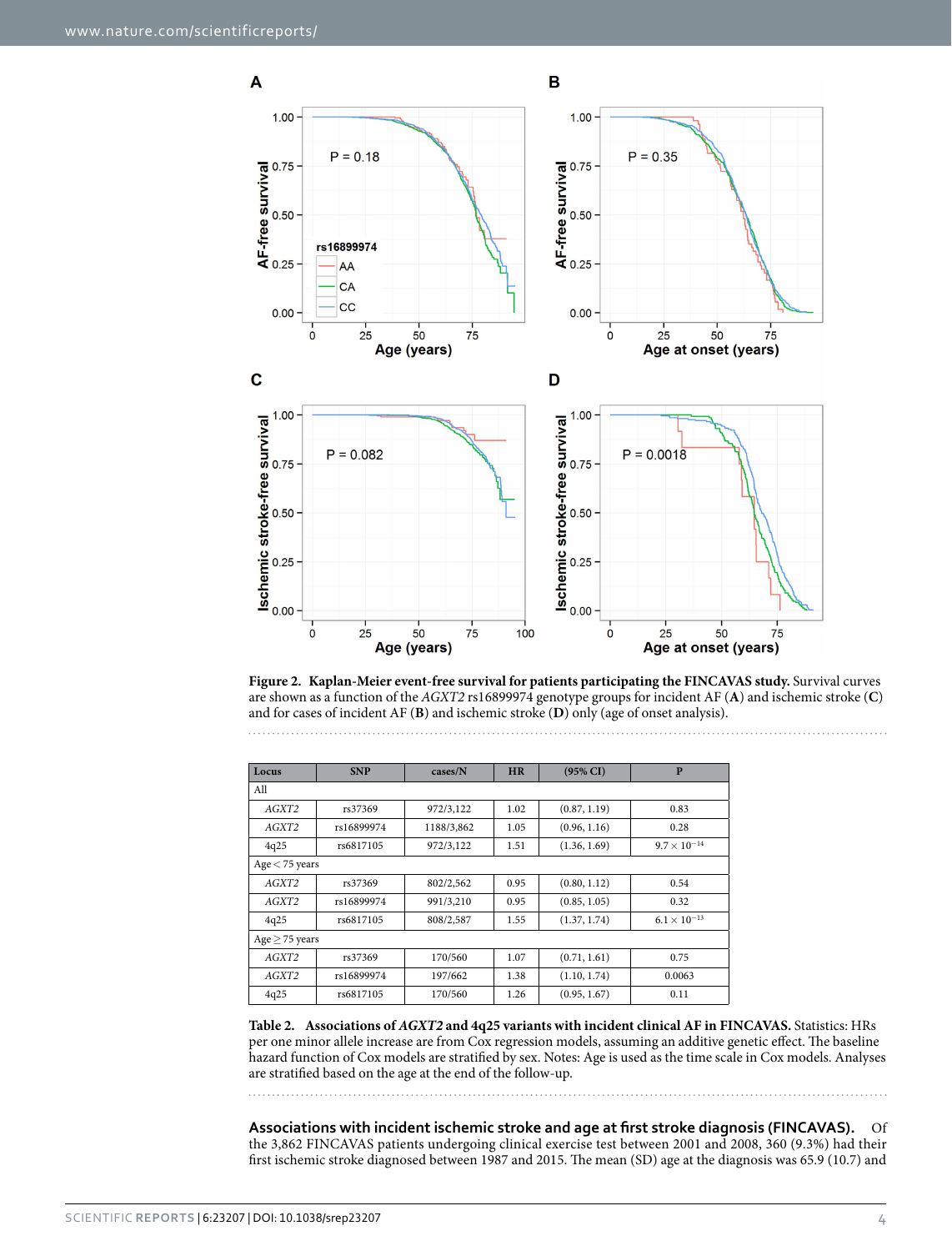

<span id="page-3-0"></span>**Figure 2. Kaplan-Meier event-free survival for patients participating the FINCAVAS study.** Survival curves are shown as a function of the *AGXT2* rs16899974 genotype groups for incident AF (**A**) and ischemic stroke (**C**) and for cases of incident AF (**B**) and ischemic stroke (**D**) only (age of onset analysis).

<span id="page-3-1"></span>

| Locus               | <b>SNP</b> | cases/N    | <b>HR</b>            | $(95\% \text{ CI})$ | $\mathbf{P}$          |  |  |  |  |
|---------------------|------------|------------|----------------------|---------------------|-----------------------|--|--|--|--|
| All                 |            |            |                      |                     |                       |  |  |  |  |
| AGXT2               | rs37369    | 972/3,122  | 1.02                 | (0.87, 1.19)        | 0.83                  |  |  |  |  |
| AGXT2               | rs16899974 | 1188/3,862 | 1.05                 | (0.96, 1.16)        | 0.28                  |  |  |  |  |
| 4q25                | rs6817105  | 972/3,122  | (1.36, 1.69)<br>1.51 |                     | $9.7 \times 10^{-14}$ |  |  |  |  |
| $Age < 75$ years    |            |            |                      |                     |                       |  |  |  |  |
| AGXT2               | rs37369    | 802/2,562  | 0.95                 | (0.80, 1.12)        | 0.54                  |  |  |  |  |
| AGXT2               | rs16899974 | 991/3,210  | 0.95                 | (0.85, 1.05)        | 0.32                  |  |  |  |  |
| 4q25                | rs6817105  | 808/2,587  | 1.55                 | (1.37, 1.74)        | $6.1 \times 10^{-13}$ |  |  |  |  |
| Age $\geq$ 75 years |            |            |                      |                     |                       |  |  |  |  |
| AGXT2               | rs37369    | 170/560    | 1.07                 | (0.71, 1.61)        | 0.75                  |  |  |  |  |
| AGXT2               | rs16899974 | 197/662    | 1.38                 | (1.10, 1.74)        | 0.0063                |  |  |  |  |
| 4q25                | rs6817105  | 170/560    | 1.26                 | (0.95, 1.67)        | 0.11                  |  |  |  |  |

**Table 2. Associations of** *AGXT2* **and 4q25 variants with incident clinical AF in FINCAVAS.** Statistics: HRs per one minor allele increase are from Cox regression models, assuming an additive genetic effect. The baseline hazard function of Cox models are stratified by sex. Notes: Age is used as the time scale in Cox models. Analyses are stratified based on the age at the end of the follow-up.

**Associations with incident ischemic stroke and age at first stroke diagnosis (FINCAVAS).** Of the 3,862 FINCAVAS patients undergoing clinical exercise test between 2001 and 2008, 360 (9.3%) had their first ischemic stroke diagnosed between 1987 and 2015. The mean (SD) age at the diagnosis was 65.9 (10.7) and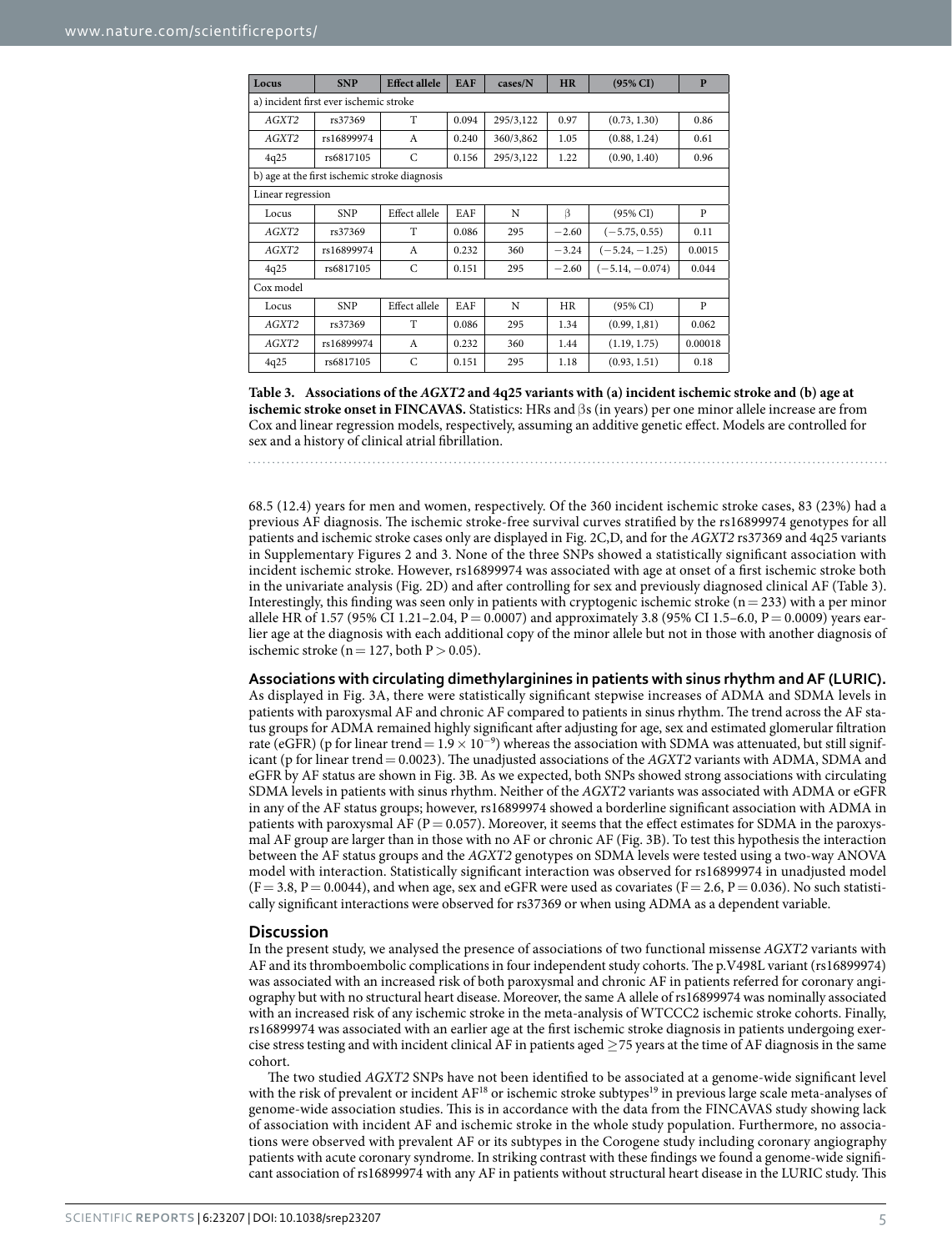<span id="page-4-0"></span>

| Locus                                         | <b>SNP</b> | <b>Effect allele</b> | <b>EAF</b> | cases/N   | <b>HR</b> | $(95\% \text{ CI})$ | P       |  |  |  |
|-----------------------------------------------|------------|----------------------|------------|-----------|-----------|---------------------|---------|--|--|--|
| a) incident first ever ischemic stroke        |            |                      |            |           |           |                     |         |  |  |  |
| AGXT2                                         | rs37369    | T                    | 0.094      | 295/3,122 | 0.97      | (0.73, 1.30)        | 0.86    |  |  |  |
| AGXT2                                         | rs16899974 | $\mathsf{A}$         | 0.240      | 360/3,862 | 1.05      | (0.88, 1.24)        | 0.61    |  |  |  |
| 4q25                                          | rs6817105  | C                    | 0.156      | 295/3,122 | 1.22      | (0.90, 1.40)        | 0.96    |  |  |  |
| b) age at the first ischemic stroke diagnosis |            |                      |            |           |           |                     |         |  |  |  |
| Linear regression                             |            |                      |            |           |           |                     |         |  |  |  |
| Locus                                         | <b>SNP</b> | Effect allele        | EAF        | N         | $\beta$   | $(95\% \text{ CI})$ | P       |  |  |  |
| AGXT2                                         | rs37369    | T                    | 0.086      | 295       | $-2.60$   | $(-5.75, 0.55)$     | 0.11    |  |  |  |
| AGXT2                                         | rs16899974 | $\mathsf{A}$         | 0.232      | 360       | $-3.24$   | $(-5.24, -1.25)$    | 0.0015  |  |  |  |
| 4q25                                          | rs6817105  | C                    | 0.151      | 295       | $-2.60$   | $(-5.14, -0.074)$   | 0.044   |  |  |  |
| Cox model                                     |            |                      |            |           |           |                     |         |  |  |  |
| Locus                                         | <b>SNP</b> | Effect allele        | EAF        | N         | HR        | $(95\% \text{ CI})$ | P       |  |  |  |
| AGXT2                                         | rs37369    | T                    | 0.086      | 295       | 1.34      | (0.99, 1.81)        | 0.062   |  |  |  |
| AGXT2                                         | rs16899974 | $\mathsf{A}$         | 0.232      | 360       | 1.44      | (1.19, 1.75)        | 0.00018 |  |  |  |
| 4q25                                          | rs6817105  | C                    | 0.151      | 295       | 1.18      | (0.93, 1.51)        | 0.18    |  |  |  |

**Table 3. Associations of the** *AGXT2* **and 4q25 variants with (a) incident ischemic stroke and (b) age at ischemic stroke onset in FINCAVAS.** Statistics: HRs and βs (in years) per one minor allele increase are from Cox and linear regression models, respectively, assuming an additive genetic effect. Models are controlled for sex and a history of clinical atrial fibrillation.

68.5 (12.4) years for men and women, respectively. Of the 360 incident ischemic stroke cases, 83 (23%) had a previous AF diagnosis. The ischemic stroke-free survival curves stratified by the rs16899974 genotypes for all patients and ischemic stroke cases only are displayed in [Fig. 2C,D,](#page-3-0) and for the *AGXT2* rs37369 and 4q25 variants in Supplementary Figures 2 and 3. None of the three SNPs showed a statistically significant association with incident ischemic stroke. However, rs16899974 was associated with age at onset of a first ischemic stroke both in the univariate analysis ([Fig. 2D](#page-3-0)) and after controlling for sex and previously diagnosed clinical AF ([Table 3](#page-4-0)). Interestingly, this finding was seen only in patients with cryptogenic ischemic stroke ( $n= 233$ ) with a per minor allele HR of 1.57 (95% CI 1.21-2.04, P = 0.0007) and approximately 3.8 (95% CI 1.5-6.0, P = 0.0009) years earlier age at the diagnosis with each additional copy of the minor allele but not in those with another diagnosis of ischemic stroke ( $n = 127$ , both  $P > 0.05$ ).

#### **Associations with circulating dimethylarginines in patients with sinus rhythm and AF (LURIC).**

As displayed in [Fig. 3A,](#page-5-0) there were statistically significant stepwise increases of ADMA and SDMA levels in patients with paroxysmal AF and chronic AF compared to patients in sinus rhythm. The trend across the AF status groups for ADMA remained highly significant after adjusting for age, sex and estimated glomerular filtration rate (eGFR) (p for linear trend =  $1.9 \times 10^{-9}$ ) whereas the association with SDMA was attenuated, but still significant (p for linear trend= 0.0023). The unadjusted associations of the *AGXT2* variants with ADMA, SDMA and eGFR by AF status are shown in [Fig. 3B.](#page-5-0) As we expected, both SNPs showed strong associations with circulating SDMA levels in patients with sinus rhythm. Neither of the *AGXT2* variants was associated with ADMA or eGFR in any of the AF status groups; however, rs16899974 showed a borderline significant association with ADMA in patients with paroxysmal AF ( $P = 0.057$ ). Moreover, it seems that the effect estimates for SDMA in the paroxysmal AF group are larger than in those with no AF or chronic AF ([Fig. 3B\)](#page-5-0). To test this hypothesis the interaction between the AF status groups and the *AGXT2* genotypes on SDMA levels were tested using a two-way ANOVA model with interaction. Statistically significant interaction was observed for rs16899974 in unadjusted model  $(F = 3.8, P = 0.0044)$ , and when age, sex and eGFR were used as covariates  $(F = 2.6, P = 0.036)$ . No such statistically significant interactions were observed for rs37369 or when using ADMA as a dependent variable.

#### **Discussion**

In the present study, we analysed the presence of associations of two functional missense *AGXT2* variants with AF and its thromboembolic complications in four independent study cohorts. The p.V498L variant (rs16899974) was associated with an increased risk of both paroxysmal and chronic AF in patients referred for coronary angiography but with no structural heart disease. Moreover, the same A allele of rs16899974 was nominally associated with an increased risk of any ischemic stroke in the meta-analysis of WTCCC2 ischemic stroke cohorts. Finally, rs16899974 was associated with an earlier age at the first ischemic stroke diagnosis in patients undergoing exercise stress testing and with incident clinical AF in patients aged  $\geq$  75 years at the time of AF diagnosis in the same cohort.

The two studied *AGXT2* SNPs have not been identified to be associated at a genome-wide significant level with the risk of prevalent or incident AF<sup>[18](#page-8-8)</sup> or ischemic stroke subtypes<sup>19</sup> in previous large scale meta-analyses of genome-wide association studies. This is in accordance with the data from the FINCAVAS study showing lack of association with incident AF and ischemic stroke in the whole study population. Furthermore, no associations were observed with prevalent AF or its subtypes in the Corogene study including coronary angiography patients with acute coronary syndrome. In striking contrast with these findings we found a genome-wide significant association of rs16899974 with any AF in patients without structural heart disease in the LURIC study. This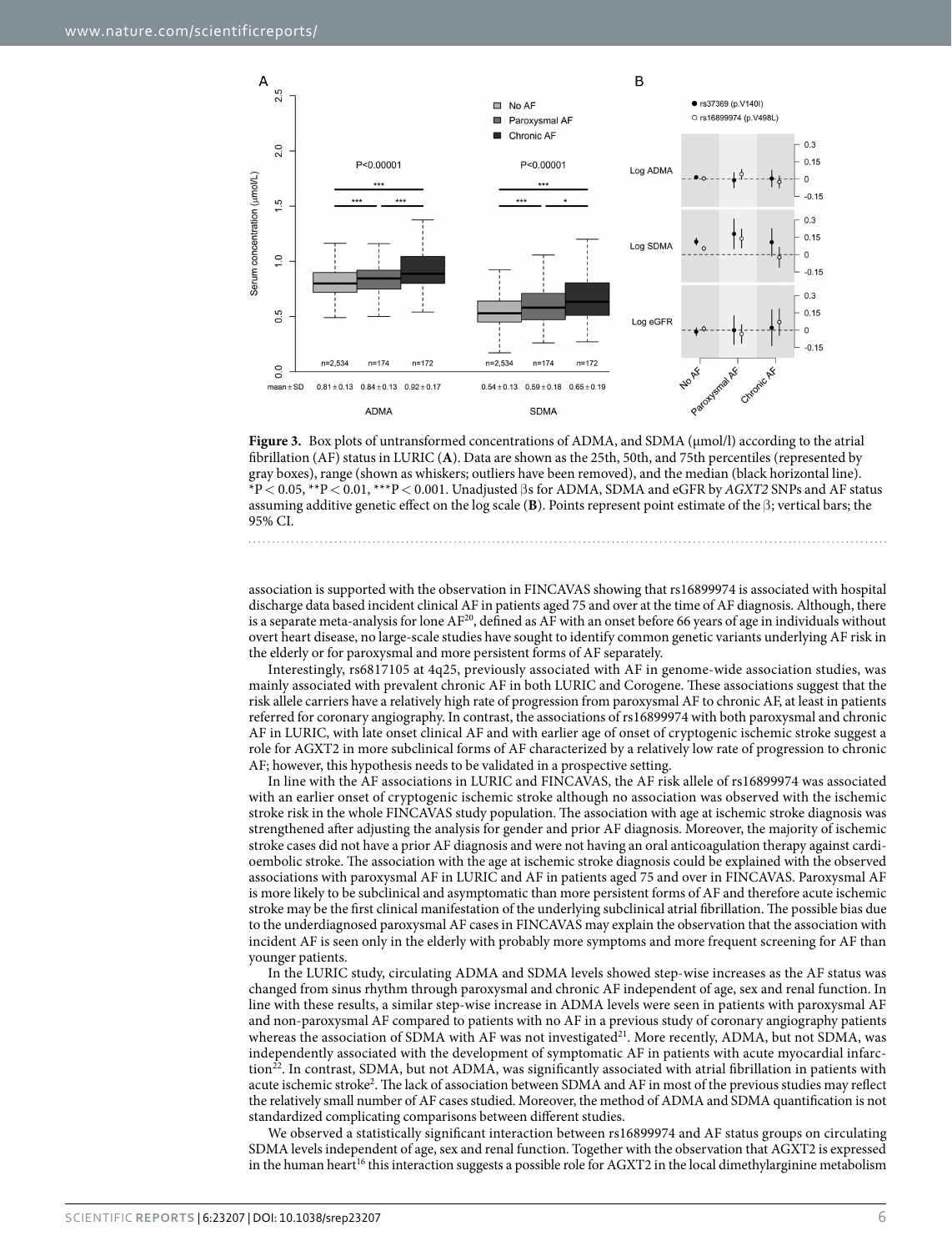

<span id="page-5-0"></span>

association is supported with the observation in FINCAVAS showing that rs16899974 is associated with hospital discharge data based incident clinical AF in patients aged 75 and over at the time of AF diagnosis. Although, there is a separate meta-analysis for lone  $AF^{20}$  $AF^{20}$  $AF^{20}$ , defined as  $AF$  with an onset before 66 years of age in individuals without overt heart disease, no large-scale studies have sought to identify common genetic variants underlying AF risk in the elderly or for paroxysmal and more persistent forms of AF separately.

Interestingly, rs6817105 at 4q25, previously associated with AF in genome-wide association studies, was mainly associated with prevalent chronic AF in both LURIC and Corogene. These associations suggest that the risk allele carriers have a relatively high rate of progression from paroxysmal AF to chronic AF, at least in patients referred for coronary angiography. In contrast, the associations of rs16899974 with both paroxysmal and chronic AF in LURIC, with late onset clinical AF and with earlier age of onset of cryptogenic ischemic stroke suggest a role for AGXT2 in more subclinical forms of AF characterized by a relatively low rate of progression to chronic AF; however, this hypothesis needs to be validated in a prospective setting.

In line with the AF associations in LURIC and FINCAVAS, the AF risk allele of rs16899974 was associated with an earlier onset of cryptogenic ischemic stroke although no association was observed with the ischemic stroke risk in the whole FINCAVAS study population. The association with age at ischemic stroke diagnosis was strengthened after adjusting the analysis for gender and prior AF diagnosis. Moreover, the majority of ischemic stroke cases did not have a prior AF diagnosis and were not having an oral anticoagulation therapy against cardioembolic stroke. The association with the age at ischemic stroke diagnosis could be explained with the observed associations with paroxysmal AF in LURIC and AF in patients aged 75 and over in FINCAVAS. Paroxysmal AF is more likely to be subclinical and asymptomatic than more persistent forms of AF and therefore acute ischemic stroke may be the first clinical manifestation of the underlying subclinical atrial fibrillation. The possible bias due to the underdiagnosed paroxysmal AF cases in FINCAVAS may explain the observation that the association with incident AF is seen only in the elderly with probably more symptoms and more frequent screening for AF than younger patients.

In the LURIC study, circulating ADMA and SDMA levels showed step-wise increases as the AF status was changed from sinus rhythm through paroxysmal and chronic AF independent of age, sex and renal function. In line with these results, a similar step-wise increase in ADMA levels were seen in patients with paroxysmal AF and non-paroxysmal AF compared to patients with no AF in a previous study of coronary angiography patients whereas the association of SDMA with AF was not investigated<sup>[21](#page-8-11)</sup>. More recently, ADMA, but not SDMA, was independently associated with the development of symptomatic AF in patients with acute myocardial infarc-tion<sup>[22](#page-8-12)</sup>. In contrast, SDMA, but not ADMA, was significantly associated with atrial fibrillation in patients with acute ischemic stroke<sup>[2](#page-7-1)</sup>. The lack of association between SDMA and AF in most of the previous studies may reflect the relatively small number of AF cases studied. Moreover, the method of ADMA and SDMA quantification is not standardized complicating comparisons between different studies.

We observed a statistically significant interaction between rs16899974 and AF status groups on circulating SDMA levels independent of age, sex and renal function. Together with the observation that AGXT2 is expressed in the human heart<sup>16</sup> this interaction suggests a possible role for AGXT2 in the local dimethylarginine metabolism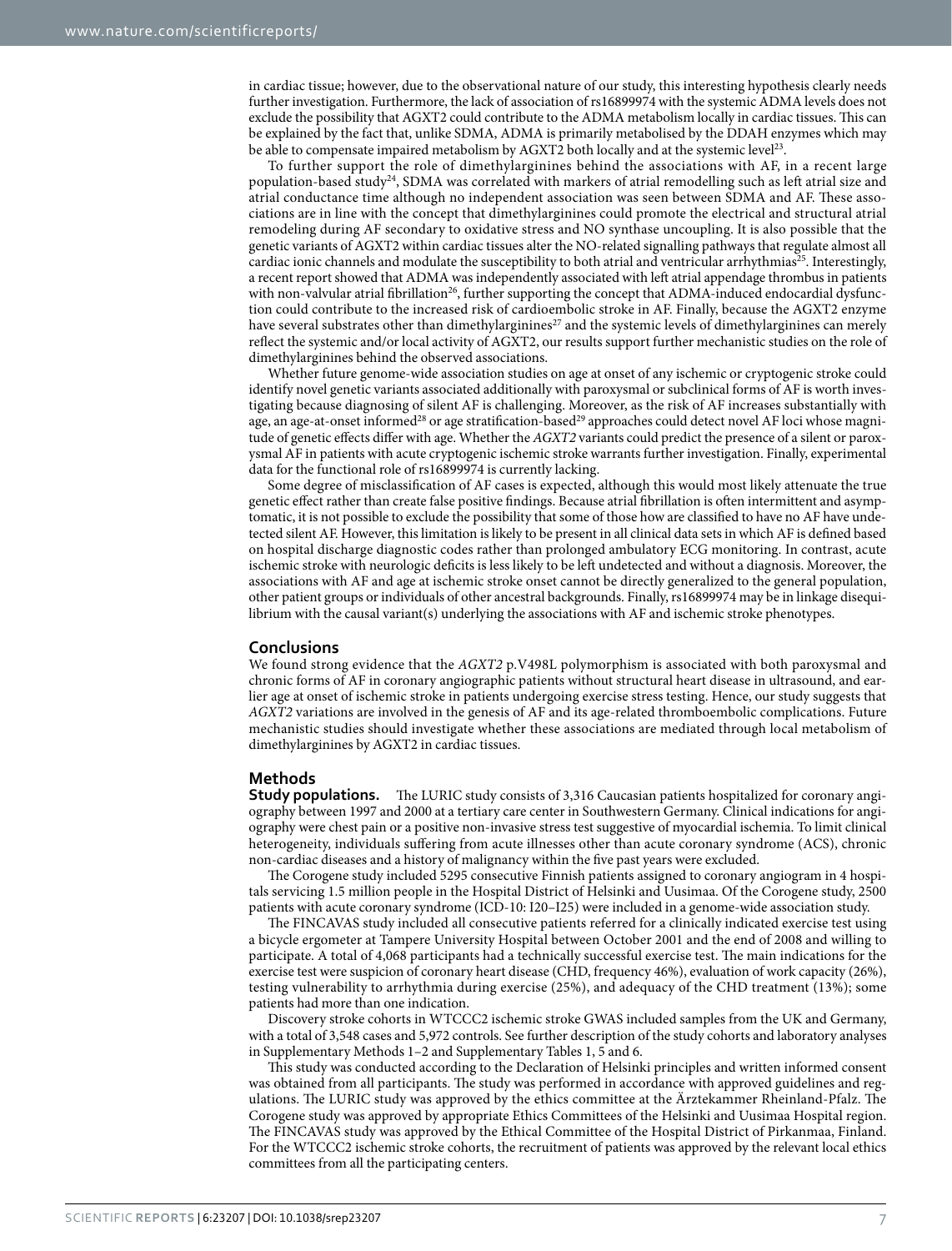in cardiac tissue; however, due to the observational nature of our study, this interesting hypothesis clearly needs further investigation. Furthermore, the lack of association of rs16899974 with the systemic ADMA levels does not exclude the possibility that AGXT2 could contribute to the ADMA metabolism locally in cardiac tissues. This can be explained by the fact that, unlike SDMA, ADMA is primarily metabolised by the DDAH enzymes which may be able to compensate impaired metabolism by AGXT2 both locally and at the systemic level<sup>[23](#page-8-13)</sup>.

To further support the role of dimethylarginines behind the associations with AF, in a recent large population-based study<sup>24</sup>, SDMA was correlated with markers of atrial remodelling such as left atrial size and atrial conductance time although no independent association was seen between SDMA and AF. These associations are in line with the concept that dimethylarginines could promote the electrical and structural atrial remodeling during AF secondary to oxidative stress and NO synthase uncoupling. It is also possible that the genetic variants of AGXT2 within cardiac tissues alter the NO-related signalling pathways that regulate almost all cardiac ionic channels and modulate the susceptibility to both atrial and ventricular arrhythmias<sup>[25](#page-8-15)</sup>. Interestingly, a recent report showed that ADMA was independently associated with left atrial appendage thrombus in patients with non-valvular atrial fibrillation<sup>26</sup>, further supporting the concept that ADMA-induced endocardial dysfunction could contribute to the increased risk of cardioembolic stroke in AF. Finally, because the AGXT2 enzyme have several substrates other than dimethylarginines<sup>[27](#page-8-17)</sup> and the systemic levels of dimethylarginines can merely reflect the systemic and/or local activity of AGXT2, our results support further mechanistic studies on the role of dimethylarginines behind the observed associations.

Whether future genome-wide association studies on age at onset of any ischemic or cryptogenic stroke could identify novel genetic variants associated additionally with paroxysmal or subclinical forms of AF is worth investigating because diagnosing of silent AF is challenging. Moreover, as the risk of AF increases substantially with age, an age-at-onset informed<sup>28</sup> or age stratification-based<sup>[29](#page-8-19)</sup> approaches could detect novel AF loci whose magnitude of genetic effects differ with age. Whether the *AGXT2* variants could predict the presence of a silent or paroxysmal AF in patients with acute cryptogenic ischemic stroke warrants further investigation. Finally, experimental data for the functional role of rs16899974 is currently lacking.

Some degree of misclassification of AF cases is expected, although this would most likely attenuate the true genetic effect rather than create false positive findings. Because atrial fibrillation is often intermittent and asymptomatic, it is not possible to exclude the possibility that some of those how are classified to have no AF have undetected silent AF. However, this limitation is likely to be present in all clinical data sets in which AF is defined based on hospital discharge diagnostic codes rather than prolonged ambulatory ECG monitoring. In contrast, acute ischemic stroke with neurologic deficits is less likely to be left undetected and without a diagnosis. Moreover, the associations with AF and age at ischemic stroke onset cannot be directly generalized to the general population, other patient groups or individuals of other ancestral backgrounds. Finally, rs16899974 may be in linkage disequilibrium with the causal variant(s) underlying the associations with AF and ischemic stroke phenotypes.

#### **Conclusions**

We found strong evidence that the *AGXT2* p.V498L polymorphism is associated with both paroxysmal and chronic forms of AF in coronary angiographic patients without structural heart disease in ultrasound, and earlier age at onset of ischemic stroke in patients undergoing exercise stress testing. Hence, our study suggests that *AGXT2* variations are involved in the genesis of AF and its age-related thromboembolic complications. Future mechanistic studies should investigate whether these associations are mediated through local metabolism of dimethylarginines by AGXT2 in cardiac tissues.

#### **Methods**

**Study populations.** The LURIC study consists of 3,316 Caucasian patients hospitalized for coronary angiography between 1997 and 2000 at a tertiary care center in Southwestern Germany. Clinical indications for angiography were chest pain or a positive non-invasive stress test suggestive of myocardial ischemia. To limit clinical heterogeneity, individuals suffering from acute illnesses other than acute coronary syndrome (ACS), chronic non-cardiac diseases and a history of malignancy within the five past years were excluded.

The Corogene study included 5295 consecutive Finnish patients assigned to coronary angiogram in 4 hospitals servicing 1.5 million people in the Hospital District of Helsinki and Uusimaa. Of the Corogene study, 2500 patients with acute coronary syndrome (ICD-10: I20–I25) were included in a genome-wide association study.

The FINCAVAS study included all consecutive patients referred for a clinically indicated exercise test using a bicycle ergometer at Tampere University Hospital between October 2001 and the end of 2008 and willing to participate. A total of 4,068 participants had a technically successful exercise test. The main indications for the exercise test were suspicion of coronary heart disease (CHD, frequency 46%), evaluation of work capacity (26%), testing vulnerability to arrhythmia during exercise (25%), and adequacy of the CHD treatment (13%); some patients had more than one indication.

Discovery stroke cohorts in WTCCC2 ischemic stroke GWAS included samples from the UK and Germany, with a total of 3,548 cases and 5,972 controls. See further description of the study cohorts and laboratory analyses in Supplementary Methods 1–2 and Supplementary Tables 1, 5 and 6.

This study was conducted according to the Declaration of Helsinki principles and written informed consent was obtained from all participants. The study was performed in accordance with approved guidelines and regulations. The LURIC study was approved by the ethics committee at the Ärztekammer Rheinland-Pfalz. The Corogene study was approved by appropriate Ethics Committees of the Helsinki and Uusimaa Hospital region. The FINCAVAS study was approved by the Ethical Committee of the Hospital District of Pirkanmaa, Finland. For the WTCCC2 ischemic stroke cohorts, the recruitment of patients was approved by the relevant local ethics committees from all the participating centers.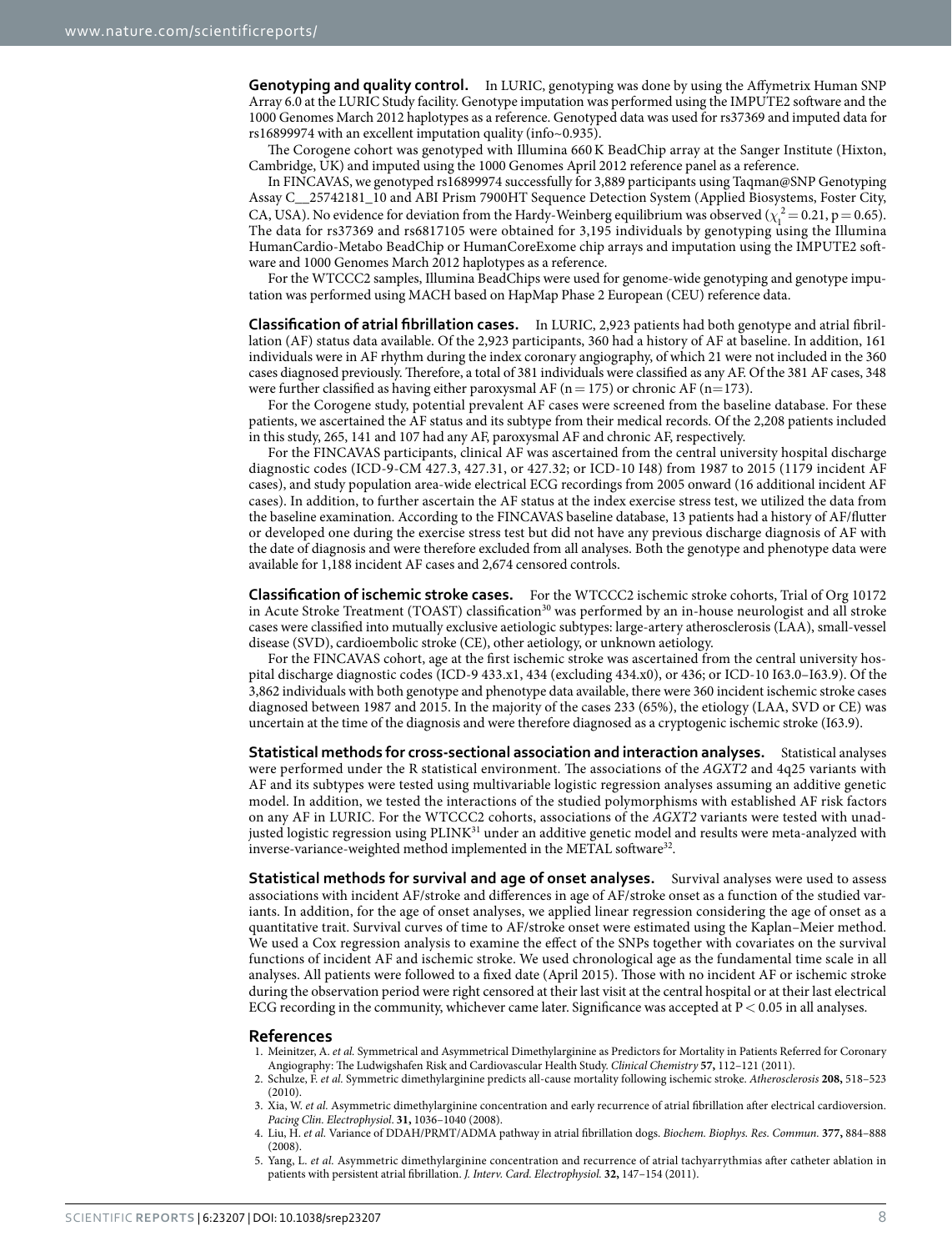**Genotyping and quality control.** In LURIC, genotyping was done by using the Affymetrix Human SNP Array 6.0 at the LURIC Study facility. Genotype imputation was performed using the IMPUTE2 software and the 1000 Genomes March 2012 haplotypes as a reference. Genotyped data was used for rs37369 and imputed data for rs16899974 with an excellent imputation quality (info~0.935).

The Corogene cohort was genotyped with Illumina 660K BeadChip array at the Sanger Institute (Hixton, Cambridge, UK) and imputed using the 1000 Genomes April 2012 reference panel as a reference.

In FINCAVAS, we genotyped rs16899974 successfully for 3,889 participants using Taqman@SNP Genotyping Assay C\_\_25742181\_10 and ABI Prism 7900HT Sequence Detection System (Applied Biosystems, Foster City, CA, USA). No evidence for deviation from the Hardy-Weinberg equilibrium was observed  $(\chi_1^2 = 0.21, p = 0.65)$ . The data for rs37369 and rs6817105 were obtained for 3,195 individuals by genotyping using the Illumina HumanCardio-Metabo BeadChip or HumanCoreExome chip arrays and imputation using the IMPUTE2 software and 1000 Genomes March 2012 haplotypes as a reference.

For the WTCCC2 samples, Illumina BeadChips were used for genome-wide genotyping and genotype imputation was performed using MACH based on HapMap Phase 2 European (CEU) reference data.

**Classification of atrial fibrillation cases.** In LURIC, 2,923 patients had both genotype and atrial fibrillation (AF) status data available. Of the 2,923 participants, 360 had a history of AF at baseline. In addition, 161 individuals were in AF rhythm during the index coronary angiography, of which 21 were not included in the 360 cases diagnosed previously. Therefore, a total of 381 individuals were classified as any AF. Of the 381 AF cases, 348 were further classified as having either paroxysmal AF ( $n= 175$ ) or chronic AF ( $n= 173$ ).

For the Corogene study, potential prevalent AF cases were screened from the baseline database. For these patients, we ascertained the AF status and its subtype from their medical records. Of the 2,208 patients included in this study, 265, 141 and 107 had any AF, paroxysmal AF and chronic AF, respectively.

For the FINCAVAS participants, clinical AF was ascertained from the central university hospital discharge diagnostic codes (ICD-9-CM 427.3, 427.31, or 427.32; or ICD-10 I48) from 1987 to 2015 (1179 incident AF cases), and study population area-wide electrical ECG recordings from 2005 onward (16 additional incident AF cases). In addition, to further ascertain the AF status at the index exercise stress test, we utilized the data from the baseline examination. According to the FINCAVAS baseline database, 13 patients had a history of AF/flutter or developed one during the exercise stress test but did not have any previous discharge diagnosis of AF with the date of diagnosis and were therefore excluded from all analyses. Both the genotype and phenotype data were available for 1,188 incident AF cases and 2,674 censored controls.

**Classification of ischemic stroke cases.** For the WTCCC2 ischemic stroke cohorts, Trial of Org 10172 in Acute Stroke Treatment (TOAST) classification<sup>30</sup> was performed by an in-house neurologist and all stroke cases were classified into mutually exclusive aetiologic subtypes: large-artery atherosclerosis (LAA), small-vessel disease (SVD), cardioembolic stroke (CE), other aetiology, or unknown aetiology.

For the FINCAVAS cohort, age at the first ischemic stroke was ascertained from the central university hospital discharge diagnostic codes (ICD-9 433.x1, 434 (excluding 434.x0), or 436; or ICD-10 I63.0–I63.9). Of the 3,862 individuals with both genotype and phenotype data available, there were 360 incident ischemic stroke cases diagnosed between 1987 and 2015. In the majority of the cases 233 (65%), the etiology (LAA, SVD or CE) was uncertain at the time of the diagnosis and were therefore diagnosed as a cryptogenic ischemic stroke (I63.9).

**Statistical methods for cross-sectional association and interaction analyses.** Statistical analyses were performed under the R statistical environment. The associations of the *AGXT2* and 4q25 variants with AF and its subtypes were tested using multivariable logistic regression analyses assuming an additive genetic model. In addition, we tested the interactions of the studied polymorphisms with established AF risk factors on any AF in LURIC. For the WTCCC2 cohorts, associations of the *AGXT2* variants were tested with unadjusted logistic regression using PLINK<sup>31</sup> under an additive genetic model and results were meta-analyzed with inverse-variance-weighted method implemented in the METAL software<sup>32</sup>.

**Statistical methods for survival and age of onset analyses.** Survival analyses were used to assess associations with incident AF/stroke and differences in age of AF/stroke onset as a function of the studied variants. In addition, for the age of onset analyses, we applied linear regression considering the age of onset as a quantitative trait. Survival curves of time to AF/stroke onset were estimated using the Kaplan–Meier method. We used a Cox regression analysis to examine the effect of the SNPs together with covariates on the survival functions of incident AF and ischemic stroke. We used chronological age as the fundamental time scale in all analyses. All patients were followed to a fixed date (April 2015). Those with no incident AF or ischemic stroke during the observation period were right censored at their last visit at the central hospital or at their last electrical ECG recording in the community, whichever came later. Significance was accepted at P< 0.05 in all analyses.

#### **References**

- <span id="page-7-0"></span>1. Meinitzer, A. *et al.* Symmetrical and Asymmetrical Dimethylarginine as Predictors for Mortality in Patients Referred for Coronary Angiography: The Ludwigshafen Risk and Cardiovascular Health Study. *Clinical Chemistry* **57,** 112–121 (2011).
- <span id="page-7-1"></span>2. Schulze, F. *et al.* Symmetric dimethylarginine predicts all-cause mortality following ischemic stroke. *Atherosclerosis* **208,** 518–523 (2010).
- <span id="page-7-2"></span>3. Xia, W. *et al.* Asymmetric dimethylarginine concentration and early recurrence of atrial fibrillation after electrical cardioversion. *Pacing Clin. Electrophysiol*. **31,** 1036–1040 (2008).
- <span id="page-7-4"></span>4. Liu, H. *et al.* Variance of DDAH/PRMT/ADMA pathway in atrial fibrillation dogs. *Biochem. Biophys. Res. Commun.* **377,** 884–888 (2008).
- <span id="page-7-3"></span>5. Yang, L. *et al.* Asymmetric dimethylarginine concentration and recurrence of atrial tachyarrythmias after catheter ablation in patients with persistent atrial fibrillation. *J. Interv. Card. Electrophysiol.* **32,** 147–154 (2011).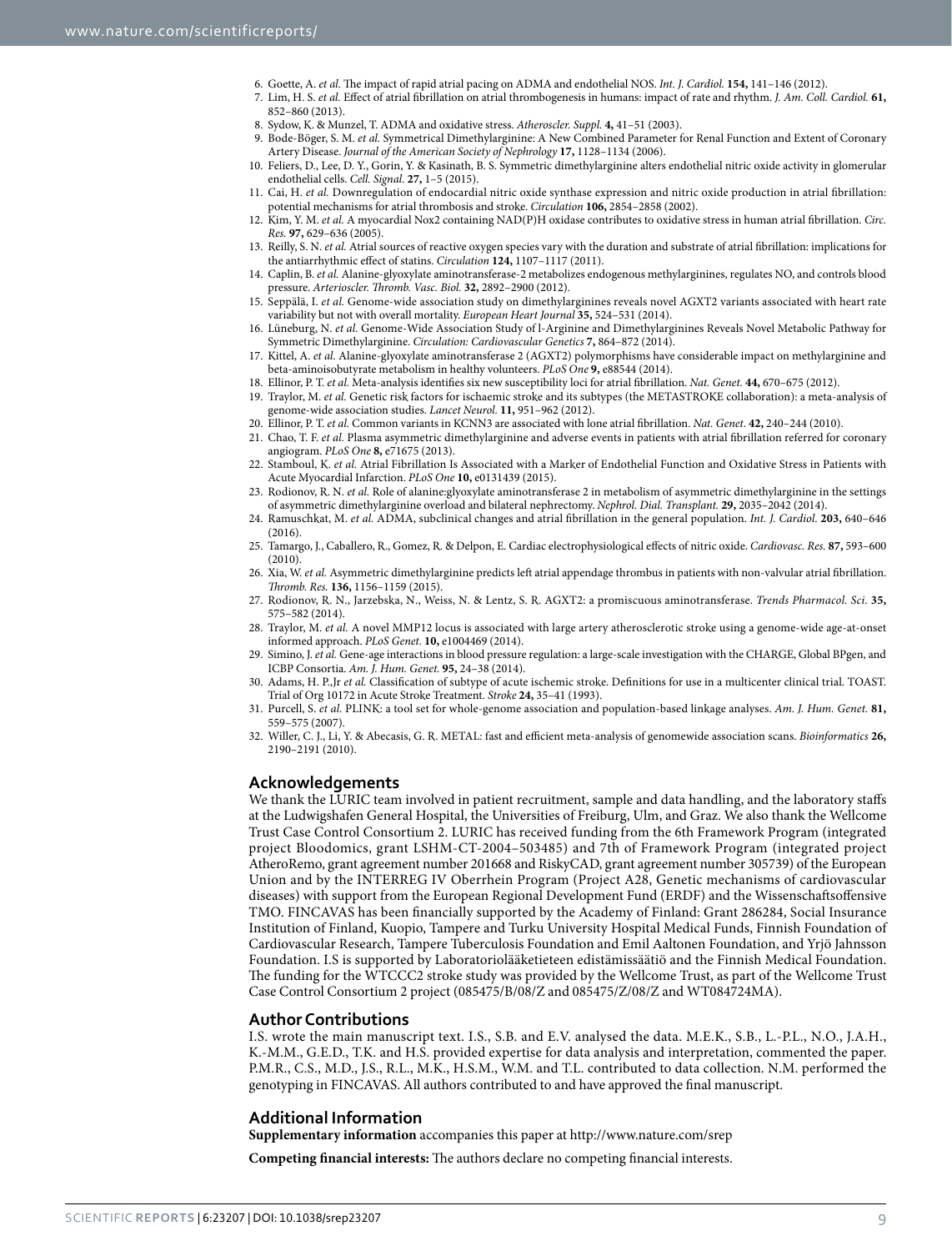- <span id="page-8-2"></span><span id="page-8-1"></span><span id="page-8-0"></span>6. Goette, A. *et al.* The impact of rapid atrial pacing on ADMA and endothelial NOS. *Int. J. Cardiol.* **154,** 141–146 (2012).
- <span id="page-8-3"></span>7. Lim, H. S. *et al.* Effect of atrial fibrillation on atrial thrombogenesis in humans: impact of rate and rhythm. *J. Am. Coll. Cardiol.* **61,** 852–860 (2013).
	- 8. Sydow, K. & Munzel, T. ADMA and oxidative stress. *Atheroscler. Suppl.* **4,** 41–51 (2003).
	- 9. Bode-Böger, S. M. *et al.* Symmetrical Dimethylarginine: A New Combined Parameter for Renal Function and Extent of Coronary Artery Disease. *Journal of the American Society of Nephrology* **17,** 1128–1134 (2006).
	- 10. Feliers, D., Lee, D. Y., Gorin, Y. & Kasinath, B. S. Symmetric dimethylarginine alters endothelial nitric oxide activity in glomerular endothelial cells. *Cell. Signal.* **27,** 1–5 (2015).
	- 11. Cai, H. *et al.* Downregulation of endocardial nitric oxide synthase expression and nitric oxide production in atrial fibrillation: potential mechanisms for atrial thrombosis and stroke. *Circulation* **106,** 2854–2858 (2002).
	- 12. Kim, Y. M. *et al.* A myocardial Nox2 containing NAD(P)H oxidase contributes to oxidative stress in human atrial fibrillation. *Circ. Res.* **97,** 629–636 (2005).
	- 13. Reilly, S. N. *et al.* Atrial sources of reactive oxygen species vary with the duration and substrate of atrial fibrillation: implications for the antiarrhythmic effect of statins. *Circulation* **124,** 1107–1117 (2011).
	- 14. Caplin, B. *et al.* Alanine-glyoxylate aminotransferase-2 metabolizes endogenous methylarginines, regulates NO, and controls blood pressure. *Arterioscler. Thromb. Vasc. Biol.* **32,** 2892–2900 (2012).
	- 15. Seppälä, I. *et al.* Genome-wide association study on dimethylarginines reveals novel AGXT2 variants associated with heart rate variability but not with overall mortality. *European Heart Journal* **35,** 524–531 (2014).
	- 16. Lüneburg, N. *et al.* Genome-Wide Association Study of l-Arginine and Dimethylarginines Reveals Novel Metabolic Pathway for Symmetric Dimethylarginine. *Circulation: Cardiovascular Genetics* **7,** 864–872 (2014).
	- 17. Kittel, A. *et al.* Alanine-glyoxylate aminotransferase 2 (AGXT2) polymorphisms have considerable impact on methylarginine and beta-aminoisobutyrate metabolism in healthy volunteers. *PLoS One* **9,** e88544 (2014).
	- 18. Ellinor, P. T. *et al.* Meta-analysis identifies six new susceptibility loci for atrial fibrillation. *Nat. Genet.* **44,** 670–675 (2012).
	- 19. Traylor, M. *et al.* Genetic risk factors for ischaemic stroke and its subtypes (the METASTROKE collaboration): a meta-analysis of genome-wide association studies. *Lancet Neurol.* **11,** 951–962 (2012).
- <span id="page-8-10"></span><span id="page-8-9"></span><span id="page-8-8"></span><span id="page-8-7"></span><span id="page-8-6"></span><span id="page-8-5"></span><span id="page-8-4"></span>20. Ellinor, P. T. *et al.* Common variants in KCNN3 are associated with lone atrial fibrillation. *Nat. Genet*. **42,** 240–244 (2010).
- <span id="page-8-11"></span>21. Chao, T. F. *et al.* Plasma asymmetric dimethylarginine and adverse events in patients with atrial fibrillation referred for coronary angiogram. *PLoS One* **8,** e71675 (2013).
- <span id="page-8-12"></span>22. Stamboul, K. *et al.* Atrial Fibrillation Is Associated with a Marker of Endothelial Function and Oxidative Stress in Patients with Acute Myocardial Infarction. *PLoS One* **10,** e0131439 (2015).
- <span id="page-8-13"></span>23. Rodionov, R. N. *et al.* Role of alanine:glyoxylate aminotransferase 2 in metabolism of asymmetric dimethylarginine in the settings of asymmetric dimethylarginine overload and bilateral nephrectomy. *Nephrol. Dial. Transplant.* **29,** 2035–2042 (2014).
- <span id="page-8-14"></span>24. Ramuschkat, M. *et al.* ADMA, subclinical changes and atrial fibrillation in the general population. *Int. J. Cardiol.* **203,** 640–646 (2016).
- <span id="page-8-15"></span>25. Tamargo, J., Caballero, R., Gomez, R. & Delpon, E. Cardiac electrophysiological effects of nitric oxide. *Cardiovasc. Res.* **87,** 593–600 (2010).
- <span id="page-8-16"></span>26. Xia, W. *et al.* Asymmetric dimethylarginine predicts left atrial appendage thrombus in patients with non-valvular atrial fibrillation. *Thromb. Res.* **136,** 1156–1159 (2015).
- <span id="page-8-17"></span>27. Rodionov, R. N., Jarzebska, N., Weiss, N. & Lentz, S. R. AGXT2: a promiscuous aminotransferase. *Trends Pharmacol. Sci.* **35,** 575–582 (2014).
- <span id="page-8-18"></span>28. Traylor, M. *et al.* A novel MMP12 locus is associated with large artery atherosclerotic stroke using a genome-wide age-at-onset informed approach. *PLoS Genet.* **10,** e1004469 (2014).
- <span id="page-8-19"></span>29. Simino, J. *et al.* Gene-age interactions in blood pressure regulation: a large-scale investigation with the CHARGE, Global BPgen, and ICBP Consortia. *Am. J. Hum. Genet.* **95,** 24–38 (2014).
- <span id="page-8-20"></span>30. Adams, H. P.,Jr *et al.* Classification of subtype of acute ischemic stroke. Definitions for use in a multicenter clinical trial. TOAST. Trial of Org 10172 in Acute Stroke Treatment. *Stroke* **24,** 35–41 (1993).
- <span id="page-8-21"></span>31. Purcell, S. *et al.* PLINK: a tool set for whole-genome association and population-based linkage analyses. *Am. J. Hum. Genet.* **81,** 559–575 (2007).
- <span id="page-8-22"></span>32. Willer, C. J., Li, Y. & Abecasis, G. R. METAL: fast and efficient meta-analysis of genomewide association scans. *Bioinformatics* **26,** 2190–2191 (2010).

#### **Acknowledgements**

We thank the LURIC team involved in patient recruitment, sample and data handling, and the laboratory staffs at the Ludwigshafen General Hospital, the Universities of Freiburg, Ulm, and Graz. We also thank the Wellcome Trust Case Control Consortium 2. LURIC has received funding from the 6th Framework Program (integrated project Bloodomics, grant LSHM-CT-2004–503485) and 7th of Framework Program (integrated project AtheroRemo, grant agreement number 201668 and RiskyCAD, grant agreement number 305739) of the European Union and by the INTERREG IV Oberrhein Program (Project A28, Genetic mechanisms of cardiovascular diseases) with support from the European Regional Development Fund (ERDF) and the Wissenschaftsoffensive TMO. FINCAVAS has been financially supported by the Academy of Finland: Grant 286284, Social Insurance Institution of Finland, Kuopio, Tampere and Turku University Hospital Medical Funds, Finnish Foundation of Cardiovascular Research, Tampere Tuberculosis Foundation and Emil Aaltonen Foundation, and Yrjö Jahnsson Foundation. I.S is supported by Laboratoriolääketieteen edistämissäätiö and the Finnish Medical Foundation. The funding for the WTCCC2 stroke study was provided by the Wellcome Trust, as part of the Wellcome Trust Case Control Consortium 2 project (085475/B/08/Z and 085475/Z/08/Z and WT084724MA).

### **Author Contributions**

I.S. wrote the main manuscript text. I.S., S.B. and E.V. analysed the data. M.E.K., S.B., L.-P.L., N.O., J.A.H., K.-M.M., G.E.D., T.K. and H.S. provided expertise for data analysis and interpretation, commented the paper. P.M.R., C.S., M.D., J.S., R.L., M.K., H.S.M., W.M. and T.L. contributed to data collection. N.M. performed the genotyping in FINCAVAS. All authors contributed to and have approved the final manuscript.

### **Additional Information**

**Supplementary information** accompanies this paper at <http://www.nature.com/srep>

**Competing financial interests:** The authors declare no competing financial interests.